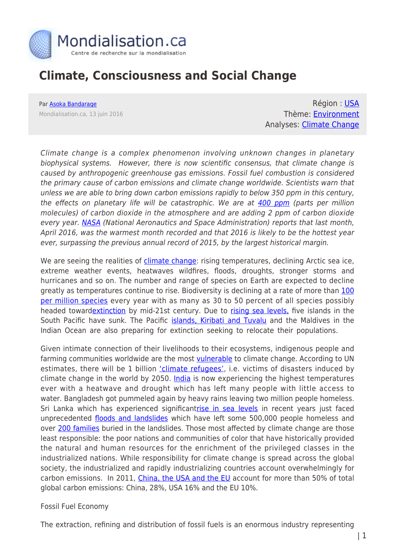

# **Climate, Consciousness and Social Change**

Par [Asoka Bandarage](https://www.mondialisation.ca/author/asoka-bandarage) Mondialisation.ca, 13 juin 2016

Région : [USA](https://www.mondialisation.ca/region/usa) Thème: [Environment](https://www.mondialisation.ca/theme/environment) Analyses: [Climate Change](https://www.mondialisation.ca/indepthreport/climate-change)

Climate change is a complex phenomenon involving unknown changes in planetary biophysical systems. However, there is now scientific consensus, that climate change is caused by anthropogenic greenhouse gas emissions. Fossil fuel combustion is considered the primary cause of carbon emissions and climate change worldwide. Scientists warn that unless we are able to bring down carbon emissions rapidly to below 350 ppm in this century, the effects on planetary life will be catastrophic. We are at [400 ppm](http://350.org/about/science/) (parts per million molecules) of carbon dioxide in the atmosphere and are adding 2 ppm of carbon dioxide every year. [NASA](http://www.huffingtonpost.com/entry/hottest-april-2016-nasa_us_57394f3ae4b060aa781aa334) (National Aeronautics and Space Administration) reports that last month, April 2016, was the warmest month recorded and that 2016 is likely to be the hottest year ever, surpassing the previous annual record of 2015, by the largest historical margin.

We are seeing the realities of *[climate change](http://climate.nasa.gov/evidence/)*: rising temperatures, declining Arctic sea ice, extreme weather events, heatwaves wildfires, floods, droughts, stronger storms and hurricanes and so on. The number and range of species on Earth are expected to decline greatly as temperatures continue to rise. Biodiversity is declining at a rate of more than [100](http://science.sciencemag.org/content/347/6223/1259855) [per million species](http://science.sciencemag.org/content/347/6223/1259855) every year with as many as 30 to 50 percent of all species possibly headed towar[dextinction](http://www.biologicaldiversity.org/programs/biodiversity/elements_of_biodiversity/extinction_crisis/) by mid-21st century. Due to [rising sea levels,](http://www.businessinsider.com/islands-threatened-by-climate-change-2012-10#kiribati-1) five islands in the South Pacific have sunk. The Pacific [islands, Kiribati and Tuvalu](http://blogs.edf.org/climate411/2007/03/02/south_pacific/) and the Maldives in the Indian Ocean are also preparing for extinction seeking to relocate their populations.

Given intimate connection of their livelihoods to their ecosystems, indigenous people and farming communities worldwide are the most *yulnerable* to climate change. According to UN estimates, there will be 1 billion ['climate refugees'](https://wattsupwiththat.com/2014/04/30/smithsonian-magazine-claim-1-billion-climate-refugees-by-2050/), i.e. victims of disasters induced by climate change in the world by 2050. [India](http://www.kitv.com/story/32023751/mercury-rising-india-records-its-highest-temperature-ever) is now experiencing the highest temperatures ever with a heatwave and drought which has left many people with little access to water. Bangladesh got pummeled again by heavy rains leaving two million people homeless. Sri Lanka which has experienced significan[trise in sea levels](http://www.saarc-sadkn.org/countries/srilanka/hazard_profile.aspx) in recent years just faced unprecedented [floods and landslides](https://latesttopnews.com/2016/05/23/82-dead-500000-homeless-as-floods-landslides-decimate-sri-lanka-photos-video/) which have left some 500,000 people homeless and over [200 families](http://www.usatoday.com/story/news/world/2016/05/18/sri-lankan-red-cross-over-200-families-missing-mudslides/84529664/) buried in the landslides. Those most affected by climate change are those least responsible: the poor nations and communities of color that have historically provided the natural and human resources for the enrichment of the privileged classes in the industrialized nations. While responsibility for climate change is spread across the global society, the industrialized and rapidly industrializing countries account overwhelmingly for carbon emissions. In 2011, [China, the USA and the EU](https://www3.epa.gov/climatechange/ghgemissions/global.html) account for more than 50% of total global carbon emissions: China, 28%, USA 16% and the EU 10%.

### Fossil Fuel Economy

The extraction, refining and distribution of fossil fuels is an enormous industry representing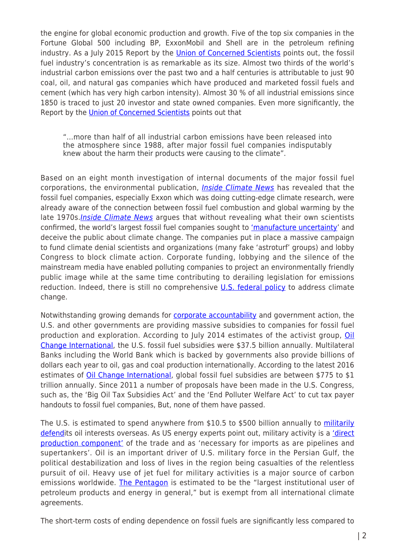the engine for global economic production and growth. Five of the top six companies in the Fortune Global 500 including BP, ExxonMobil and Shell are in the petroleum refining industry. As a July 2015 Report by the *[Union of Concerned Scientists](http://www.ucsusa.org/sites/default/files/attach/2015/07/The-Climate-Deception-Dossiers.pdf)* points out, the fossil fuel industry's concentration is as remarkable as its size. Almost two thirds of the world's industrial carbon emissions over the past two and a half centuries is attributable to just 90 coal, oil, and natural gas companies which have produced and marketed fossil fuels and cement (which has very high carbon intensity). Almost 30 % of all industrial emissions since 1850 is traced to just 20 investor and state owned companies. Even more significantly, the Report by the [Union of Concerned Scientists](http://www.ucsusa.org/sites/default/files/attach/2015/07/The-Climate-Deception-Dossiers.pdf) points out that

"…more than half of all industrial carbon emissions have been released into the atmosphere since 1988, after major fossil fuel companies indisputably knew about the harm their products were causing to the climate".

Based on an eight month investigation of internal documents of the major fossil fuel corporations, the environmental publication, *[Inside Climate News](http://insideclimatenews.org/content/Exxon-The-Road-Not-Taken)* has revealed that the fossil fuel companies, especially Exxon which was doing cutting-edge climate research, were already aware of the connection between fossil fuel combustion and global warming by the late 1970s. *[Inside Climate News](http://insideclimatenews.org/content/Exxon-The-Road-Not-Taken)* argues that without revealing what their own scientists confirmed, the world's largest fossil fuel companies sought to ['manufacture uncertainty](http://insideclimatenews.org/content/Exxon-The-Road-Not-Taken)' and deceive the public about climate change. The companies put in place a massive campaign to fund climate denial scientists and organizations (many fake 'astroturf' groups) and lobby Congress to block climate action. Corporate funding, lobbying and the silence of the mainstream media have enabled polluting companies to project an environmentally friendly public image while at the same time contributing to derailing legislation for emissions reduction. Indeed, there is still no comprehensive [U.S. federal policy](http://www.ucsusa.org/our-work/center-science-and-democracy/fighting-misinformation/a-climate-of-corporate-control.html#.V07WQ_krLX5) to address climate change.

Notwithstanding growing demands for [corporate accountability](https://www.stopcorporateabuse.org/about-campaign-1) and government action, the U.S. and other governments are providing massive subsidies to companies for fossil fuel production and exploration. According to July 2014 estimates of the activist group, [Oil](http://priceofoil.org/fossil-fuel-subsidies/) [Change International](http://priceofoil.org/fossil-fuel-subsidies/), the U.S. fossil fuel subsidies were \$37.5 billion annually. Multilateral Banks including the World Bank which is backed by governments also provide billions of dollars each year to oil, gas and coal production internationally. According to the latest 2016 estimates of [Oil Change International](http://priceofoil.org/fossil-fuel-subsidies/), global fossil fuel subsidies are between \$775 to \$1 trillion annually. Since 2011 a number of proposals have been made in the U.S. Congress, such as, the 'Big Oil Tax Subsidies Act' and the 'End Polluter Welfare Act' to cut tax payer handouts to fossil fuel companies, But, none of them have passed.

The U.S. is estimated to spend anywhere from \$10.5 to \$500 billion annually to [militarily](http://priceofoil.org/fossil-fuel-subsidies/) [defendi](http://priceofoil.org/fossil-fuel-subsidies/)ts oil interests overseas. As US energy experts point out, military activity is a ['direct](http://www.holisticpsychiatrist.com/) [production component'](http://www.holisticpsychiatrist.com/) of the trade and as 'necessary for imports as are pipelines and supertankers'. Oil is an important driver of U.S. military force in the Persian Gulf, the political destabilization and loss of lives in the region being casualties of the relentless pursuit of oil. Heavy use of jet fuel for military activities is a major source of carbon emissions worldwide. [The Pentagon](http://www.workers.org/2009/world/pentagon_1224/) is estimated to be the "largest institutional user of petroleum products and energy in general," but is exempt from all international climate agreements.

The short-term costs of ending dependence on fossil fuels are significantly less compared to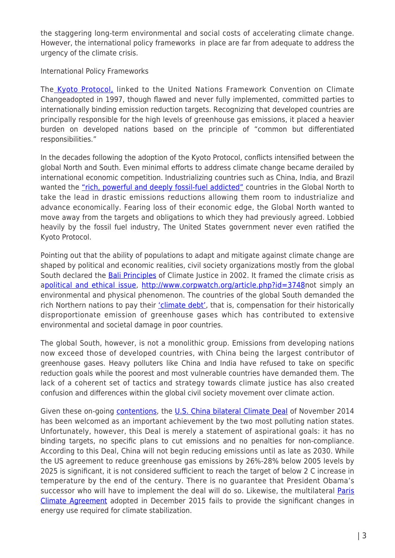the staggering long-term environmental and social costs of accelerating climate change. However, the international policy frameworks in place are far from adequate to address the urgency of the climate crisis.

International Policy Frameworks

The [Kyoto Protocol,](http://unfccc.int/kyoto_protocol/items/2830.php) linked to the United Nations Framework Convention on Climate Changeadopted in 1997, though flawed and never fully implemented, committed parties to internationally binding emission reduction targets. Recognizing that developed countries are principally responsible for the high levels of greenhouse gas emissions, it placed a heavier burden on developed nations based on the principle of "common but differentiated responsibilities."

In the decades following the adoption of the Kyoto Protocol, conflicts intensified between the global North and South. Even minimal efforts to address climate change became derailed by international economic competition. Industrializing countries such as China, India, and Brazil wanted the ["rich, powerful and deeply fossil-fuel addicted"](http://www.huffingtonpost.com/asoka-bandarage/cop-19_b_4350483.html) countries in the Global North to take the lead in drastic emissions reductions allowing them room to industrialize and advance economically. Fearing loss of their economic edge, the Global North wanted to move away from the targets and obligations to which they had previously agreed. Lobbied heavily by the fossil fuel industry, The United States government never even ratified the Kyoto Protocol.

Pointing out that the ability of populations to adapt and mitigate against climate change are shaped by political and economic realities, civil society organizations mostly from the global South declared the **Bali Principles** of Climate Justice in 2002. It framed the climate crisis as a[political and ethical issue](http://www.benelexblog.law.ed.ac.uk/2014/12/11/unpacking-the-debate-on-climate-justice-and-equity-part-i/),<http://www.corpwatch.org/article.php?id=3748>not simply an environmental and physical phenomenon. The countries of the global South demanded the rich Northern nations to pay their ['climate debt'](http://www.iicat.org/wp-content/uploads/2015/02/What-Now-For-Climate-Justice-IICAT-2014.pdf), that is, compensation for their historically disproportionate emission of greenhouse gases which has contributed to extensive environmental and societal damage in poor countries.

The global South, however, is not a monolithic group. Emissions from developing nations now exceed those of developed countries, with China being the largest contributor of greenhouse gases. Heavy polluters like China and India have refused to take on specific reduction goals while the poorest and most vulnerable countries have demanded them. The lack of a coherent set of tactics and strategy towards climate justice has also created confusion and differences within the global civil society movement over climate action.

Given these on-going [contentions](http://chinamatters.blogspot.com/2014/06/hillary-clintons-climate-change.html), the [U.S. China bilateral Climate Deal](http://fpif.org/u-s-china-climate-deal-bad-news-climate-activists/) of November 2014 has been welcomed as an important achievement by the two most polluting nation states. Unfortunately, however, this Deal is merely a statement of aspirational goals: it has no binding targets, no specific plans to cut emissions and no penalties for non-compliance. According to this Deal, China will not begin reducing emissions until as late as 2030. While the US agreement to reduce greenhouse gas emissions by 26%-28% below 2005 levels by 2025 is significant, it is not considered sufficient to reach the target of below 2 C increase in temperature by the end of the century. There is no guarantee that President Obama's successor who will have to implement the deal will do so. Likewise, the multilateral [Paris](https://unfccc.int/resource/docs/2015/cop21/eng/l09r01.pdf) [Climate Agreement](https://unfccc.int/resource/docs/2015/cop21/eng/l09r01.pdf) adopted in December 2015 fails to provide the significant changes in energy use required for climate stabilization.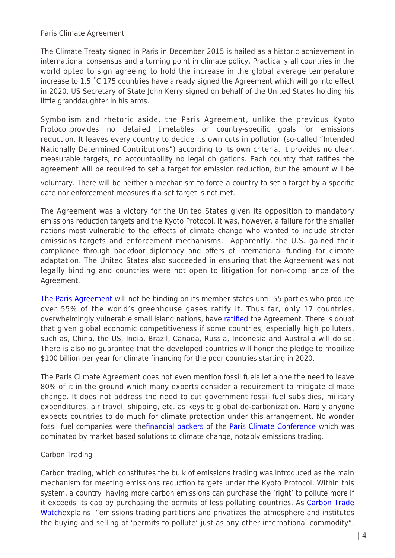Paris Climate Agreement

The Climate Treaty signed in Paris in December 2015 is hailed as a historic achievement in international consensus and a turning point in climate policy. Practically all countries in the world opted to sign agreeing to hold the increase in the global average temperature increase to 1.5 ˚C.175 countries have already signed the Agreement which will go into effect in 2020. US Secretary of State John Kerry signed on behalf of the United States holding his little granddaughter in his arms.

Symbolism and rhetoric aside, the Paris Agreement, unlike the previous Kyoto Protocol,provides no detailed timetables or country-specific goals for emissions reduction. It leaves every country to decide its own cuts in pollution (so-called "Intended Nationally Determined Contributions") according to its own criteria. It provides no clear, measurable targets, no accountability no legal obligations. Each country that ratifies the agreement will be required to set a target for emission reduction, but the amount will be

voluntary. There will be neither a mechanism to force a country to set a target by a specific date nor enforcement measures if a set target is not met.

The Agreement was a victory for the United States given its opposition to mandatory emissions reduction targets and the Kyoto Protocol. It was, however, a failure for the smaller nations most vulnerable to the effects of climate change who wanted to include stricter emissions targets and enforcement mechanisms. Apparently, the U.S. gained their compliance through backdoor diplomacy and offers of international funding for climate adaptation. The United States also succeeded in ensuring that the Agreement was not legally binding and countries were not open to litigation for non-compliance of the Agreement.

[The Paris Agreement](http://therealnews.com/t2/index.php?option=com_content&task=view&id=31&Itemid=74&jumival=16172) will not be binding on its member states until 55 parties who produce over 55% of the world's greenhouse gases ratify it. Thus far, only 17 countries, overwhelmingly vulnerable small island nations, have [ratified](https://en.wikipedia.org/wiki/Paris_Agreement#Parties_and_signatories) the Agreement. There is doubt that given global economic competitiveness if some countries, especially high polluters, such as, China, the US, India, Brazil, Canada, Russia, Indonesia and Australia will do so. There is also no guarantee that the developed countries will honor the pledge to mobilize \$100 billion per year for climate financing for the poor countries starting in 2020.

The Paris Climate Agreement does not even mention fossil fuels let alone the need to leave 80% of it in the ground which many experts consider a requirement to mitigate climate change. It does not address the need to cut government fossil fuel subsidies, military expenditures, air travel, shipping, etc. as keys to global de-carbonization. Hardly anyone expects countries to do much for climate protection under this arrangement. No wonder fossil fuel companies were the*[financial backers](http://www.thenation.com/article/why-are-so-many-fossil-fuel-companies-funding-the-paris-climate-conference/)* of the [Paris Climate Conference](http://www.motherjones.com/environment/2015/12/climate-change-summit-paris-cop21-fossil-fuels-sponsors) which was dominated by market based solutions to climate change, notably emissions trading.

## Carbon Trading

Carbon trading, which constitutes the bulk of emissions trading was introduced as the main mechanism for meeting emissions reduction targets under the Kyoto Protocol. Within this system, a country having more carbon emissions can purchase the 'right' to pollute more if it exceeds its cap by purchasing the permits of less polluting countries. As [Carbon Trade](http://www.carbontradewatch.org/carbon-connection/what-is-the-kyoto-protocol.html) [Watche](http://www.carbontradewatch.org/carbon-connection/what-is-the-kyoto-protocol.html)xplains: "emissions trading partitions and privatizes the atmosphere and institutes the buying and selling of 'permits to pollute' just as any other international commodity".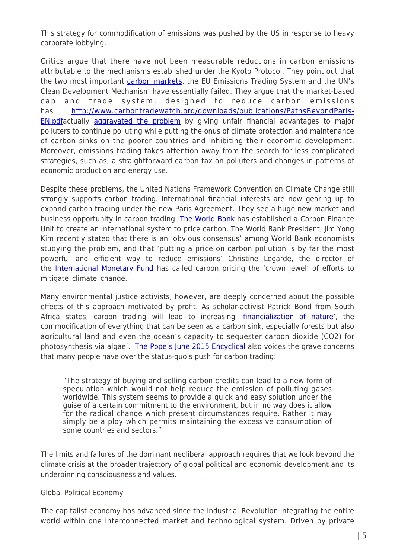This strategy for commodification of emissions was pushed by the US in response to heavy corporate lobbying.

Critics argue that there have not been measurable reductions in carbon emissions attributable to the mechanisms established under the Kyoto Protocol. They point out that the two most important [carbon markets,](http://www.theguardian.com/sustainable-business/blog/why-are-carbon-markets-failing) the EU Emissions Trading System and the UN's Clean Development Mechanism have essentially failed. They argue that the market-based cap and trade system, designed to reduce carbon emissions has [http://www.carbontradewatch.org/downloads/publications/PathsBeyondParis-](http://www.carbontradewatch.org/downloads/publications/PathsBeyondParis-EN.pdf)[EN.pdfa](http://www.carbontradewatch.org/downloads/publications/PathsBeyondParis-EN.pdf)ctually [aggravated the problem](http://www.carbontradewatch.org/downloads/publications/PathsBeyondParis-EN.pdf) by giving unfair financial advantages to major polluters to continue polluting while putting the onus of climate protection and maintenance of carbon sinks on the poorer countries and inhibiting their economic development. Moreover, emissions trading takes attention away from the search for less complicated strategies, such as, a straightforward carbon tax on polluters and changes in patterns of economic production and energy use.

Despite these problems, the United Nations Framework Convention on Climate Change still strongly supports carbon trading. International financial interests are now gearing up to expand carbon trading under the new Paris Agreement. They see a huge new market and business opportunity in carbon trading. [The World Bank](http://www.nytimes.com/2016/04/24/us/politics/carbon-pricingbecomes-a-cause-for-the-world-bank-and-imf.html?_r=0) has established a Carbon Finance Unit to create an international system to price carbon. The World Bank President, Jim Yong Kim recently stated that there is an 'obvious consensus' among World Bank economists studying the problem, and that 'putting a price on carbon pollution is by far the most powerful and efficient way to reduce emissions' Christine Legarde, the director of the [International Monetary Fund](http://www.nytimes.com/2016/04/24/us/politics/carbon-pricingbecomes-a-cause-for-the-world-bank-and-imf.html?_r=0) has called carbon pricing the 'crown jewel' of efforts to mitigate climate change.

Many environmental justice activists, however, are deeply concerned about the possible effects of this approach motivated by profit. As scholar-activist Patrick Bond from South Africa states, carbon trading will lead to increasing ['financialization of nature',](http://www.carbontradewatch.org/downloads/publications/PathsBeyondParis-EN.pdf) the commodification of everything that can be seen as a carbon sink, especially forests but also agricultural land and even the ocean's capacity to sequester carbon dioxide (CO2) for photosynthesis via algae'. [The Pope's June 2015 Encyclical](https://catholicsensibility.wordpress.com/2015/12/01/laudato-si-171l-carbon-credits/) also voices the grave concerns that many people have over the status-quo's push for carbon trading:

"The strategy of buying and selling carbon credits can lead to a new form of speculation which would not help reduce the emission of polluting gases worldwide. This system seems to provide a quick and easy solution under the guise of a certain commitment to the environment, but in no way does it allow for the radical change which present circumstances require. Rather it may simply be a ploy which permits maintaining the excessive consumption of some countries and sectors."

The limits and failures of the dominant neoliberal approach requires that we look beyond the climate crisis at the broader trajectory of global political and economic development and its underpinning consciousness and values.

## Global Political Economy

The capitalist economy has advanced since the Industrial Revolution integrating the entire world within one interconnected market and technological system. Driven by private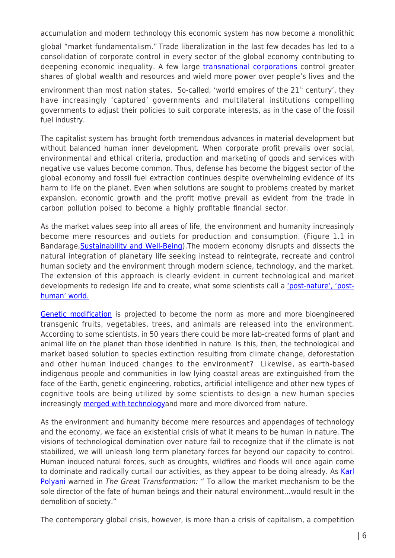accumulation and modern technology this economic system has now become a monolithic

global "market fundamentalism." Trade liberalization in the last few decades has led to a consolidation of corporate control in every sector of the global economy contributing to deepening economic inequality. A few large [transnational corporations](https://www.tni.org/en/article/state-corporate-power) control greater shares of global wealth and resources and wield more power over people's lives and the

environment than most nation states. So-called, 'world empires of the  $21^{st}$  century', they have increasingly 'captured' governments and multilateral institutions compelling governments to adjust their policies to suit corporate interests, as in the case of the fossil fuel industry.

The capitalist system has brought forth tremendous advances in material development but without balanced human inner development. When corporate profit prevails over social, environmental and ethical criteria, production and marketing of goods and services with negative use values become common. Thus, defense has become the biggest sector of the global economy and fossil fuel extraction continues despite overwhelming evidence of its harm to life on the planet. Even when solutions are sought to problems created by market expansion, economic growth and the profit motive prevail as evident from the trade in carbon pollution poised to become a highly profitable financial sector.

As the market values seep into all areas of life, the environment and humanity increasingly become mere resources and outlets for production and consumption. (Figure 1.1 in Bandarage, [Sustainability and Well-Being\)](https://www.amazon.com/Sustainability-Well-Being-Environment-Society-Palgrave-ebook/dp/B00C2TPBUG). The modern economy disrupts and dissects the natural integration of planetary life seeking instead to reintegrate, recreate and control human society and the environment through modern science, technology, and the market. The extension of this approach is clearly evident in current technological and market developments to redesign life and to create, what some scientists call a ['post-nature', 'post](http://www.z33.be/en/projects/alter-nature-designing-nature-designing-human-life-owning-life/more)[human' world.](http://www.z33.be/en/projects/alter-nature-designing-nature-designing-human-life-owning-life/more)

[Genetic modification](https://www.washingtonpost.com/business/sponsored-content-synthetic-biology---fidelity-investments/2012) is projected to become the norm as more and more bioengineered transgenic fruits, vegetables, trees, and animals are released into the environment. According to some scientists, in 50 years there could be more lab-created forms of plant and animal life on the planet than those identified in nature. Is this, then, the technological and market based solution to species extinction resulting from climate change, deforestation and other human induced changes to the environment? Likewise, as earth-based indigenous people and communities in low lying coastal areas are extinguished from the face of the Earth, genetic engineering, robotics, artificial intelligence and other new types of cognitive tools are being utilized by some scientists to design a new human species increasingly [merged with technology](http://occupycorporatism.com/neo-humanity-transhumanism-will-merge-man-with-machine/)and more and more divorced from nature.

As the environment and humanity become mere resources and appendages of technology and the economy, we face an existential crisis of what it means to be human in nature. The visions of technological domination over nature fail to recognize that if the climate is not stabilized, we will unleash long term planetary forces far beyond our capacity to control. Human induced natural forces, such as droughts, wildfires and floods will once again come to dominate and radically curtail our activities, as they appear to be doing already. As [Karl](https://www.amazon.com/Great-Transformation-Political-Economic-Origins/dp/080705643X?ie=UTF8&*Version*=1&*entries*=0) [Polyani](https://www.amazon.com/Great-Transformation-Political-Economic-Origins/dp/080705643X?ie=UTF8&*Version*=1&*entries*=0) warned in The Great Transformation: " To allow the market mechanism to be the sole director of the fate of human beings and their natural environment…would result in the demolition of society."

The contemporary global crisis, however, is more than a crisis of capitalism, a competition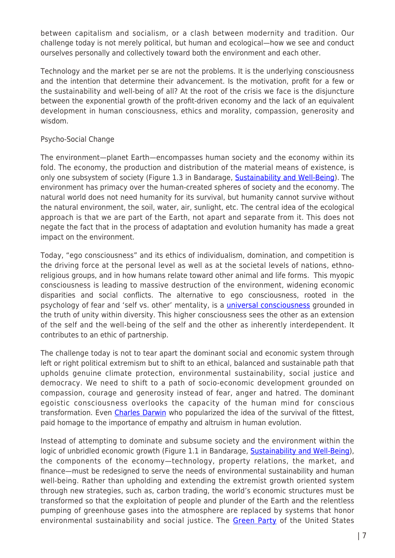between capitalism and socialism, or a clash between modernity and tradition. Our challenge today is not merely political, but human and ecological—how we see and conduct ourselves personally and collectively toward both the environment and each other.

Technology and the market per se are not the problems. It is the underlying consciousness and the intention that determine their advancement. Is the motivation, profit for a few or the sustainability and well-being of all? At the root of the crisis we face is the disjuncture between the exponential growth of the profit-driven economy and the lack of an equivalent development in human consciousness, ethics and morality, compassion, generosity and wisdom.

# Psycho-Social Change

The environment—planet Earth—encompasses human society and the economy within its fold. The economy, the production and distribution of the material means of existence, is only one subsystem of society (Figure 1.3 in Bandarage, [Sustainability and Well-Being](https://www.amazon.com/Sustainability-Well-Being-Environment-Society-Palgrave-ebook/dp/B00C2TPBUG)). The environment has primacy over the human-created spheres of society and the economy. The natural world does not need humanity for its survival, but humanity cannot survive without the natural environment, the soil, water, air, sunlight, etc. The central idea of the ecological approach is that we are part of the Earth, not apart and separate from it. This does not negate the fact that in the process of adaptation and evolution humanity has made a great impact on the environment.

Today, "ego consciousness" and its ethics of individualism, domination, and competition is the driving force at the personal level as well as at the societal levels of nations, ethnoreligious groups, and in how humans relate toward other animal and life forms. This myopic consciousness is leading to massive destruction of the environment, widening economic disparities and social conflicts. The alternative to ego consciousness, rooted in the psychology of fear and 'self vs. other' mentality, is a *universal consciousness* grounded in the truth of unity within diversity. This higher consciousness sees the other as an extension of the self and the well-being of the self and the other as inherently interdependent. It contributes to an ethic of partnership.

The challenge today is not to tear apart the dominant social and economic system through left or right political extremism but to shift to an ethical, balanced and sustainable path that upholds genuine climate protection, environmental sustainability, social justice and democracy. We need to shift to a path of socio-economic development grounded on compassion, courage and generosity instead of fear, anger and hatred. The dominant egoistic consciousness overlooks the capacity of the human mind for conscious transformation. Even *[Charles Darwin](http://news.nationalgeographic.com/news/2009/02/090216-darwin-buddhist-compassion.html)* who popularized the idea of the survival of the fittest, paid homage to the importance of empathy and altruism in human evolution.

Instead of attempting to dominate and subsume society and the environment within the logic of unbridled economic growth (Figure 1.1 in Bandarage, [Sustainability and Well-Being\)](https://www.amazon.com/Sustainability-Well-Being-Environment-Society-Palgrave-ebook/dp/B00C2TPBUG), the components of the economy—technology, property relations, the market, and finance—must be redesigned to serve the needs of environmental sustainability and human well-being. Rather than upholding and extending the extremist growth oriented system through new strategies, such as, carbon trading, the world's economic structures must be transformed so that the exploitation of people and plunder of the Earth and the relentless pumping of greenhouse gases into the atmosphere are replaced by systems that honor environmental sustainability and social justice. The [Green Party](http://www.gp.org/greens_say_nonbinding_deal_at_paris_summit_falls_short) of the United States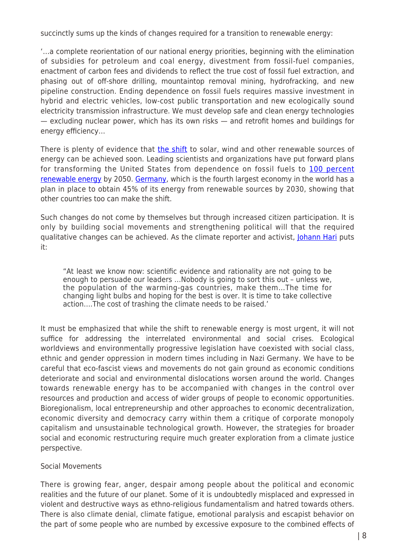succinctly sums up the kinds of changes required for a transition to renewable energy:

'…a complete reorientation of our national energy priorities, beginning with the elimination of subsidies for petroleum and coal energy, divestment from fossil-fuel companies, enactment of carbon fees and dividends to reflect the true cost of fossil fuel extraction, and phasing out of off-shore drilling, mountaintop removal mining, hydrofracking, and new pipeline construction. Ending dependence on fossil fuels requires massive investment in hybrid and electric vehicles, low-cost public transportation and new ecologically sound electricity transmission infrastructure. We must develop safe and clean energy technologies — excluding nuclear power, which has its own risks — and retrofit homes and buildings for energy efficiency…

There is plenty of evidence that [the shift](http://www.amazon.com/Renewable-Revolution-Revitalize-Transition-Sustainable/dp/184971195X) to solar, wind and other renewable sources of energy can be achieved soon. Leading scientists and organizations have put forward plans for transforming the United States from dependence on fossil fuels to [100 percent](http://news.stanford.edu/news/2014/february/fifty-states-renewables-022414.html) [renewable energy](http://news.stanford.edu/news/2014/february/fifty-states-renewables-022414.html) by 2050. [Germany,](http://www.metaefficient.com/renewable-power/45-renewable-energy-for-germany-by-2030.html) which is the fourth largest economy in the world has a plan in place to obtain 45% of its energy from renewable sources by 2030, showing that other countries too can make the shift.

Such changes do not come by themselves but through increased citizen participation. It is only by building social movements and strengthening political will that the required qualitative changes can be achieved. As the climate reporter and activist, [Johann Hari](http://www.huffingtonpost.com/johann-hari/after-the-catastrophe-in_b_398708.html) puts it:

"At least we know now: scientific evidence and rationality are not going to be enough to persuade our leaders …Nobody is going to sort this out – unless we, the population of the warming-gas countries, make them…The time for changing light bulbs and hoping for the best is over. It is time to take collective action….The cost of trashing the climate needs to be raised.'

It must be emphasized that while the shift to renewable energy is most urgent, it will not suffice for addressing the interrelated environmental and social crises. Ecological worldviews and environmentally progressive legislation have coexisted with social class, ethnic and gender oppression in modern times including in Nazi Germany. We have to be careful that eco-fascist views and movements do not gain ground as economic conditions deteriorate and social and environmental dislocations worsen around the world. Changes towards renewable energy has to be accompanied with changes in the control over resources and production and access of wider groups of people to economic opportunities. Bioregionalism, local entrepreneurship and other approaches to economic decentralization, economic diversity and democracy carry within them a critique of corporate monopoly capitalism and unsustainable technological growth. However, the strategies for broader social and economic restructuring require much greater exploration from a climate justice perspective.

## Social Movements

There is growing fear, anger, despair among people about the political and economic realities and the future of our planet. Some of it is undoubtedly misplaced and expressed in violent and destructive ways as ethno-religious fundamentalism and hatred towards others. There is also climate denial, climate fatigue, emotional paralysis and escapist behavior on the part of some people who are numbed by excessive exposure to the combined effects of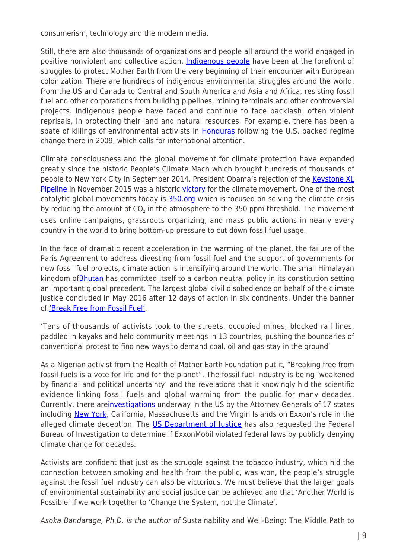consumerism, technology and the modern media.

Still, there are also thousands of organizations and people all around the world engaged in positive nonviolent and collective action. [Indigenous people](https://intercontinentalcry.org/indigenous-struggles-to-watch-in-the-united-states-in-canada/) have been at the forefront of struggles to protect Mother Earth from the very beginning of their encounter with European colonization. There are hundreds of indigenous environmental struggles around the world, from the US and Canada to Central and South America and Asia and Africa, resisting fossil fuel and other corporations from building pipelines, mining terminals and other controversial projects. Indigenous people have faced and continue to face backlash, often violent reprisals, in protecting their land and natural resources. For example, there has been a spate of killings of environmental activists in [Honduras](https://www.popularresistance.org/activists-in-central-america-fear-for-their-lives-in-wake-of-assassinations/) following the U.S. backed regime change there in 2009, which calls for international attention.

Climate consciousness and the global movement for climate protection have expanded greatly since the historic People's Climate Mach which brought hundreds of thousands of people to New York City in September 2014. President Obama's rejection of the [Keystone XL](http://www.huffingtonpost.com/asoka-bandarage/no-to-the-keystone_b_2927453.html) [Pipeline](http://www.huffingtonpost.com/asoka-bandarage/no-to-the-keystone_b_2927453.html) in November 2015 was a historic [victory](http://350.org/kxl-victory/) for the climate movement. One of the most catalytic global movements today is [350.org](http://350.org/) which is focused on solving the climate crisis by reducing the amount of CO<sub>2</sub> in the atmosphere to the 350 ppm threshold. The movement uses online campaigns, grassroots organizing, and mass public actions in nearly every country in the world to bring bottom-up pressure to cut down fossil fuel usage.

In the face of dramatic recent acceleration in the warming of the planet, the failure of the Paris Agreement to address divesting from fossil fuel and the support of governments for new fossil fuel projects, climate action is intensifying around the world. The small Himalayan kingdom of **Bhutan** has committed itself to a carbon neutral policy in its constitution setting an important global precedent. The largest global civil disobedience on behalf of the climate justice concluded in May 2016 after 12 days of action in six continents. Under the banner of ['Break Free from Fossil Fuel',](http://article.wn.com/view/2016/05/16/Largest_global_civil_disobedience_in_the_history_of_the_Clim_9/)

'Tens of thousands of activists took to the streets, occupied mines, blocked rail lines, paddled in kayaks and held community meetings in 13 countries, pushing the boundaries of conventional protest to find new ways to demand coal, oil and gas stay in the ground'

As a Nigerian activist from the Health of Mother Earth Foundation put it, "Breaking free from fossil fuels is a vote for life and for the planet". The fossil fuel industry is being 'weakened by financial and political uncertainty' and the revelations that it knowingly hid the scientific evidence linking fossil fuels and global warming from the public for many decades. Currently, there are[investigations](http://motherboard.vice.com/read/exxons-lawsuit-signals-the-start-of-a-big-tobacco-style-showdown-for-oil-and-gas) underway in the US by the Attorney Generals of 17 states including [New York,](http://thinkprogress.org/climate/2016/05/20/3780305/lamar-smith-investigates-new-yorks-investigation/) California, Massachusetts and the Virgin Islands on Exxon's role in the alleged climate deception. The [US Department of Justice](http://www.huffingtonpost.com/entry/exxonmobil-climate-change_us_56d86b7de4b0000de4039417) has also requested the Federal Bureau of Investigation to determine if ExxonMobil violated federal laws by publicly denying climate change for decades.

Activists are confident that just as the struggle against the tobacco industry, which hid the connection between smoking and health from the public, was won, the people's struggle against the fossil fuel industry can also be victorious. We must believe that the larger goals of environmental sustainability and social justice can be achieved and that 'Another World is Possible' if we work together to 'Change the System, not the Climate'.

Asoka Bandarage, Ph.D. is the author of Sustainability and Well-Being: The Middle Path to